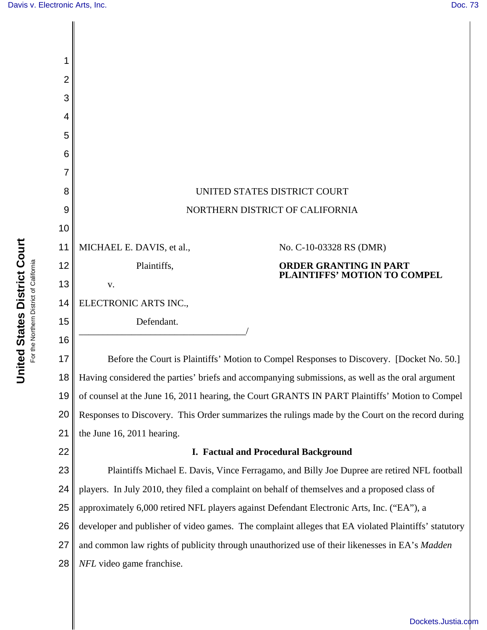

[Dockets.Justia.com](http://dockets.justia.com/)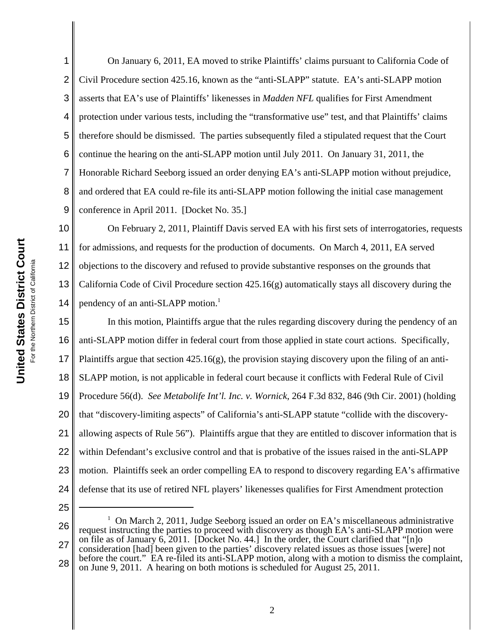1

2 3 4 5 6 7 8 9 On January 6, 2011, EA moved to strike Plaintiffs' claims pursuant to California Code of Civil Procedure section 425.16, known as the "anti-SLAPP" statute. EA's anti-SLAPP motion asserts that EA's use of Plaintiffs' likenesses in *Madden NFL* qualifies for First Amendment protection under various tests, including the "transformative use" test, and that Plaintiffs' claims therefore should be dismissed. The parties subsequently filed a stipulated request that the Court continue the hearing on the anti-SLAPP motion until July 2011. On January 31, 2011, the Honorable Richard Seeborg issued an order denying EA's anti-SLAPP motion without prejudice, and ordered that EA could re-file its anti-SLAPP motion following the initial case management conference in April 2011. [Docket No. 35.]

10 11 12 13 14 On February 2, 2011, Plaintiff Davis served EA with his first sets of interrogatories, requests for admissions, and requests for the production of documents. On March 4, 2011, EA served objections to the discovery and refused to provide substantive responses on the grounds that California Code of Civil Procedure section 425.16(g) automatically stays all discovery during the pendency of an anti-SLAPP motion.<sup>1</sup>

15 16 17 18 19 20 21 22 23 24 In this motion, Plaintiffs argue that the rules regarding discovery during the pendency of an anti-SLAPP motion differ in federal court from those applied in state court actions. Specifically, Plaintiffs argue that section  $425.16(g)$ , the provision staying discovery upon the filing of an anti-SLAPP motion, is not applicable in federal court because it conflicts with Federal Rule of Civil Procedure 56(d). *See Metabolife Int'l. Inc. v. Wornick*, 264 F.3d 832, 846 (9th Cir. 2001) (holding that "discovery-limiting aspects" of California's anti-SLAPP statute "collide with the discoveryallowing aspects of Rule 56"). Plaintiffs argue that they are entitled to discover information that is within Defendant's exclusive control and that is probative of the issues raised in the anti-SLAPP motion. Plaintiffs seek an order compelling EA to respond to discovery regarding EA's affirmative defense that its use of retired NFL players' likenesses qualifies for First Amendment protection

25

<sup>26</sup> 27 28 <sup>1</sup> On March 2, 2011, Judge Seeborg issued an order on EA's miscellaneous administrative request instructing the parties to proceed with discovery as though EA's anti-SLAPP motion were on file as of January 6, 2011. [Docket No. 44.] In the order, the Court clarified that "[n]o consideration [had] been given to the parties' discovery related issues as those issues [were] not before the court." EA re-filed its anti-SLAPP motion, along with a motion to dismiss the complaint, on June 9, 2011. A hearing on both motions is scheduled for August 25, 2011.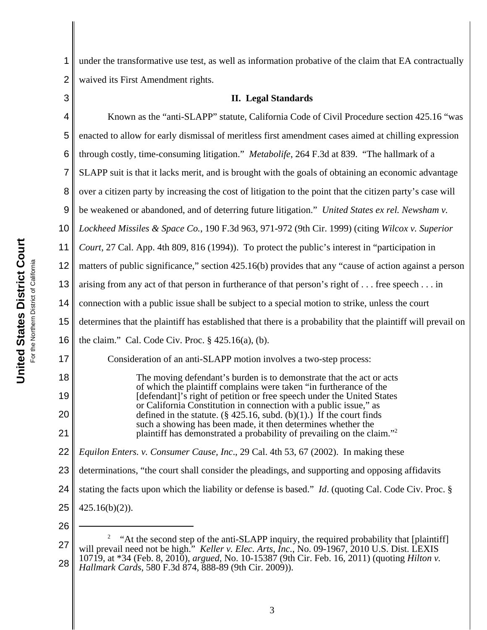1 2 under the transformative use test, as well as information probative of the claim that EA contractually waived its First Amendment rights.

3

## **II. Legal Standards**

4 5 6 7 8 9 10 11 12 13 14 15 16 17 18 19 20 21 22 23 24 25 26 Known as the "anti-SLAPP" statute, California Code of Civil Procedure section 425.16 "was enacted to allow for early dismissal of meritless first amendment cases aimed at chilling expression through costly, time-consuming litigation." *Metabolife*, 264 F.3d at 839. "The hallmark of a SLAPP suit is that it lacks merit, and is brought with the goals of obtaining an economic advantage over a citizen party by increasing the cost of litigation to the point that the citizen party's case will be weakened or abandoned, and of deterring future litigation." *United States ex rel. Newsham v. Lockheed Missiles & Space Co.*, 190 F.3d 963, 971-972 (9th Cir. 1999) (citing *Wilcox v. Superior Court*, 27 Cal. App. 4th 809, 816 (1994)). To protect the public's interest in "participation in matters of public significance," section 425.16(b) provides that any "cause of action against a person arising from any act of that person in furtherance of that person's right of . . . free speech . . . in connection with a public issue shall be subject to a special motion to strike, unless the court determines that the plaintiff has established that there is a probability that the plaintiff will prevail on the claim." Cal. Code Civ. Proc.  $\S$  425.16(a), (b). Consideration of an anti-SLAPP motion involves a two-step process: The moving defendant's burden is to demonstrate that the act or acts of which the plaintiff complains were taken "in furtherance of the [defendant]'s right of petition or free speech under the United States or California Constitution in connection with a public issue," as defined in the statute.  $(\S$  425.16, subd. (b)(1).) If the court finds such a showing has been made, it then determines whether the plaintiff has demonstrated a probability of prevailing on the claim."2 *Equilon Enters. v. Consumer Cause, Inc*., 29 Cal. 4th 53, 67 (2002). In making these determinations, "the court shall consider the pleadings, and supporting and opposing affidavits stating the facts upon which the liability or defense is based." *Id*. (quoting Cal. Code Civ. Proc. § 425.16(b)(2)).

<sup>27</sup> 28 2 "At the second step of the anti-SLAPP inquiry, the required probability that [plaintiff] will prevail need not be high." *Keller v. Elec. Arts, Inc.*, No. 09-1967, 2010 U.S. Dist. LEXIS 10719, at \*34 (Feb. 8, 2010), *argued*, No. 10-15387 (9th Cir. Feb. 16, 2011) (quoting *Hilton v. Hallmark Cards*, 580 F.3d 874, 888-89 (9th Cir. 2009)).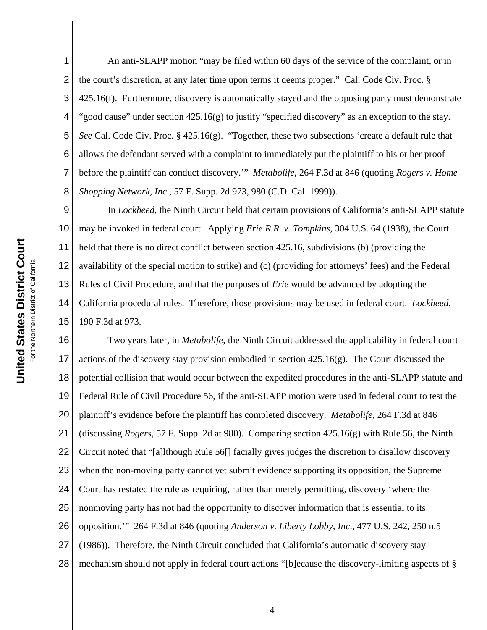1 2 3 4 5 6 7 8 An anti-SLAPP motion "may be filed within 60 days of the service of the complaint, or in the court's discretion, at any later time upon terms it deems proper." Cal. Code Civ. Proc. § 425.16(f). Furthermore, discovery is automatically stayed and the opposing party must demonstrate "good cause" under section 425.16(g) to justify "specified discovery" as an exception to the stay. *See* Cal. Code Civ. Proc. § 425.16(g). "Together, these two subsections 'create a default rule that allows the defendant served with a complaint to immediately put the plaintiff to his or her proof before the plaintiff can conduct discovery.'" *Metabolife*, 264 F.3d at 846 (quoting *Rogers v. Home Shopping Network, Inc*., 57 F. Supp. 2d 973, 980 (C.D. Cal. 1999)).

9 10 11 12 13 14 15 In *Lockheed*, the Ninth Circuit held that certain provisions of California's anti-SLAPP statute may be invoked in federal court. Applying *Erie R.R. v. Tompkins*, 304 U.S. 64 (1938), the Court held that there is no direct conflict between section 425.16, subdivisions (b) (providing the availability of the special motion to strike) and (c) (providing for attorneys' fees) and the Federal Rules of Civil Procedure, and that the purposes of *Erie* would be advanced by adopting the California procedural rules. Therefore, those provisions may be used in federal court. *Lockheed*, 190 F.3d at 973.

16 17 18 19 20 21 22 23 24 25 26 27 28 Two years later, in *Metabolife*, the Ninth Circuit addressed the applicability in federal court actions of the discovery stay provision embodied in section  $425.16(g)$ . The Court discussed the potential collision that would occur between the expedited procedures in the anti-SLAPP statute and Federal Rule of Civil Procedure 56, if the anti-SLAPP motion were used in federal court to test the plaintiff's evidence before the plaintiff has completed discovery. *Metabolife*, 264 F.3d at 846 (discussing *Rogers*, 57 F. Supp. 2d at 980). Comparing section 425.16(g) with Rule 56, the Ninth Circuit noted that "[a]lthough Rule 56[] facially gives judges the discretion to disallow discovery when the non-moving party cannot yet submit evidence supporting its opposition, the Supreme Court has restated the rule as requiring, rather than merely permitting, discovery 'where the nonmoving party has not had the opportunity to discover information that is essential to its opposition.'" 264 F.3d at 846 (quoting *Anderson v. Liberty Lobby, Inc*., 477 U.S. 242, 250 n.5 (1986)). Therefore, the Ninth Circuit concluded that California's automatic discovery stay mechanism should not apply in federal court actions "[b]ecause the discovery-limiting aspects of §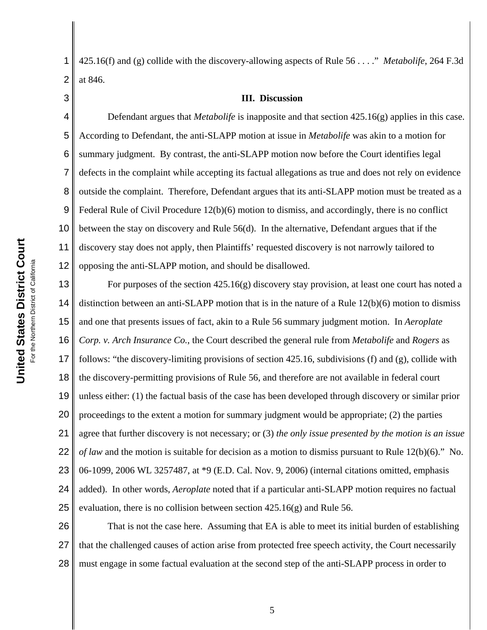1 2 425.16(f) and (g) collide with the discovery-allowing aspects of Rule 56 . . . ." *Metabolife*, 264 F.3d at 846.

3

## **III. Discussion**

4 5 6 7 8 9 10 11 12 Defendant argues that *Metabolife* is inapposite and that section 425.16(g) applies in this case. According to Defendant, the anti-SLAPP motion at issue in *Metabolife* was akin to a motion for summary judgment. By contrast, the anti-SLAPP motion now before the Court identifies legal defects in the complaint while accepting its factual allegations as true and does not rely on evidence outside the complaint. Therefore, Defendant argues that its anti-SLAPP motion must be treated as a Federal Rule of Civil Procedure 12(b)(6) motion to dismiss, and accordingly, there is no conflict between the stay on discovery and Rule 56(d). In the alternative, Defendant argues that if the discovery stay does not apply, then Plaintiffs' requested discovery is not narrowly tailored to opposing the anti-SLAPP motion, and should be disallowed.

13 14 15 16 17 18 19 20 21 22 23 24 25 For purposes of the section 425.16(g) discovery stay provision, at least one court has noted a distinction between an anti-SLAPP motion that is in the nature of a Rule 12(b)(6) motion to dismiss and one that presents issues of fact, akin to a Rule 56 summary judgment motion. In *Aeroplate Corp. v. Arch Insurance Co.*, the Court described the general rule from *Metabolife* and *Rogers* as follows: "the discovery-limiting provisions of section 425.16, subdivisions (f) and (g), collide with the discovery-permitting provisions of Rule 56, and therefore are not available in federal court unless either: (1) the factual basis of the case has been developed through discovery or similar prior proceedings to the extent a motion for summary judgment would be appropriate; (2) the parties agree that further discovery is not necessary; or (3) *the only issue presented by the motion is an issue of law* and the motion is suitable for decision as a motion to dismiss pursuant to Rule 12(b)(6)." No. 06-1099, 2006 WL 3257487, at \*9 (E.D. Cal. Nov. 9, 2006) (internal citations omitted, emphasis added). In other words, *Aeroplate* noted that if a particular anti-SLAPP motion requires no factual evaluation, there is no collision between section 425.16(g) and Rule 56.

26 27 28 That is not the case here. Assuming that EA is able to meet its initial burden of establishing that the challenged causes of action arise from protected free speech activity, the Court necessarily must engage in some factual evaluation at the second step of the anti-SLAPP process in order to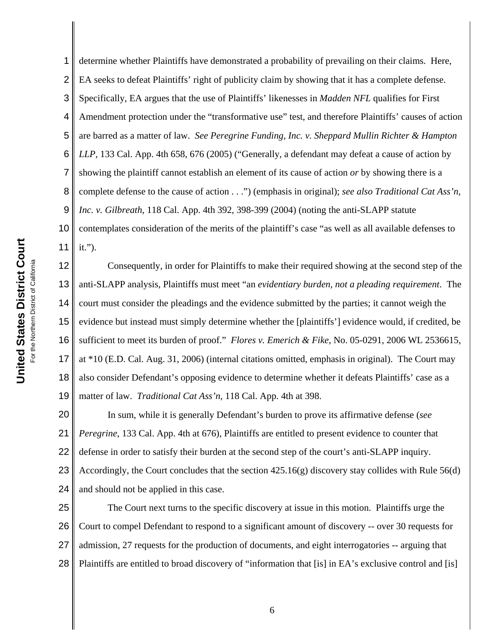1 2 3 4 5 6 7 8 9 10 11 determine whether Plaintiffs have demonstrated a probability of prevailing on their claims. Here, EA seeks to defeat Plaintiffs' right of publicity claim by showing that it has a complete defense. Specifically, EA argues that the use of Plaintiffs' likenesses in *Madden NFL* qualifies for First Amendment protection under the "transformative use" test, and therefore Plaintiffs' causes of action are barred as a matter of law. *See Peregrine Funding, Inc. v. Sheppard Mullin Richter & Hampton LLP*, 133 Cal. App. 4th 658, 676 (2005) ("Generally, a defendant may defeat a cause of action by showing the plaintiff cannot establish an element of its cause of action *or* by showing there is a complete defense to the cause of action . . .") (emphasis in original); *see also Traditional Cat Ass'n, Inc. v. Gilbreath*, 118 Cal. App. 4th 392, 398-399 (2004) (noting the anti-SLAPP statute contemplates consideration of the merits of the plaintiff's case "as well as all available defenses to it.").

12 13 14 15 16 17 18 19 Consequently, in order for Plaintiffs to make their required showing at the second step of the anti-SLAPP analysis, Plaintiffs must meet "an *evidentiary burden, not a pleading requirement*. The court must consider the pleadings and the evidence submitted by the parties; it cannot weigh the evidence but instead must simply determine whether the [plaintiffs'] evidence would, if credited, be sufficient to meet its burden of proof." *Flores v. Emerich & Fike*, No. 05-0291, 2006 WL 2536615, at \*10 (E.D. Cal. Aug. 31, 2006) (internal citations omitted, emphasis in original). The Court may also consider Defendant's opposing evidence to determine whether it defeats Plaintiffs' case as a matter of law. *Traditional Cat Ass'n*, 118 Cal. App. 4th at 398.

20 21 22 23 24 In sum, while it is generally Defendant's burden to prove its affirmative defense (*see Peregrine*, 133 Cal. App. 4th at 676), Plaintiffs are entitled to present evidence to counter that defense in order to satisfy their burden at the second step of the court's anti-SLAPP inquiry. Accordingly, the Court concludes that the section 425.16(g) discovery stay collides with Rule 56(d) and should not be applied in this case.

25 26 27 28 The Court next turns to the specific discovery at issue in this motion. Plaintiffs urge the Court to compel Defendant to respond to a significant amount of discovery -- over 30 requests for admission, 27 requests for the production of documents, and eight interrogatories -- arguing that Plaintiffs are entitled to broad discovery of "information that [is] in EA's exclusive control and [is]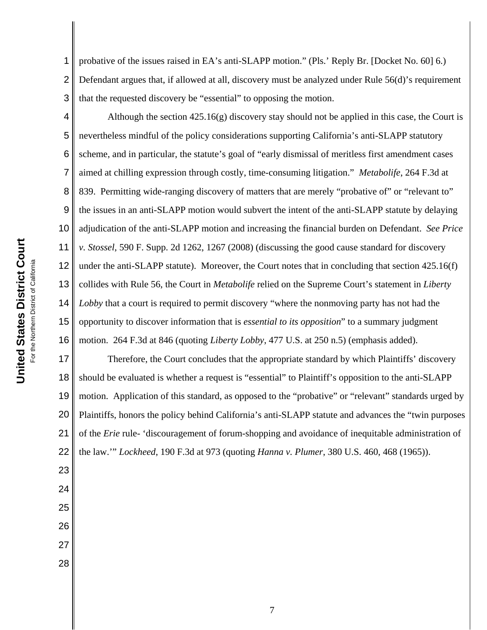United States District Court **United States District Court** For the Northern District of California For the Northern District of California

1 2 3 probative of the issues raised in EA's anti-SLAPP motion." (Pls.' Reply Br. [Docket No. 60] 6.) Defendant argues that, if allowed at all, discovery must be analyzed under Rule 56(d)'s requirement that the requested discovery be "essential" to opposing the motion.

4 5 6 7 8 9 10 11 12 13 14 15 16 Although the section 425.16(g) discovery stay should not be applied in this case, the Court is nevertheless mindful of the policy considerations supporting California's anti-SLAPP statutory scheme, and in particular, the statute's goal of "early dismissal of meritless first amendment cases aimed at chilling expression through costly, time-consuming litigation." *Metabolife*, 264 F.3d at 839. Permitting wide-ranging discovery of matters that are merely "probative of" or "relevant to" the issues in an anti-SLAPP motion would subvert the intent of the anti-SLAPP statute by delaying adjudication of the anti-SLAPP motion and increasing the financial burden on Defendant. *See Price v. Stossel*, 590 F. Supp. 2d 1262, 1267 (2008) (discussing the good cause standard for discovery under the anti-SLAPP statute). Moreover, the Court notes that in concluding that section 425.16(f) collides with Rule 56, the Court in *Metabolife* relied on the Supreme Court's statement in *Liberty Lobby* that a court is required to permit discovery "where the nonmoving party has not had the opportunity to discover information that is *essential to its opposition*" to a summary judgment motion. 264 F.3d at 846 (quoting *Liberty Lobby*, 477 U.S. at 250 n.5) (emphasis added).

17 18 19 20 21 22 Therefore, the Court concludes that the appropriate standard by which Plaintiffs' discovery should be evaluated is whether a request is "essential" to Plaintiff's opposition to the anti-SLAPP motion. Application of this standard, as opposed to the "probative" or "relevant" standards urged by Plaintiffs, honors the policy behind California's anti-SLAPP statute and advances the "twin purposes of the *Erie* rule- 'discouragement of forum-shopping and avoidance of inequitable administration of the law.'" *Lockheed*, 190 F.3d at 973 (quoting *Hanna v. Plumer*, 380 U.S. 460, 468 (1965)).

23

27 28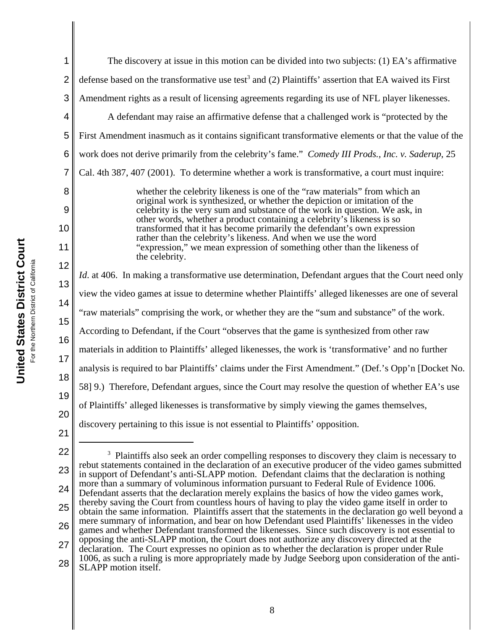| 1              | The discovery at issue in this motion can be divided into two subjects: (1) EA's affirmative                                                                                                                |
|----------------|-------------------------------------------------------------------------------------------------------------------------------------------------------------------------------------------------------------|
| $\overline{2}$ | defense based on the transformative use test <sup>3</sup> and (2) Plaintiffs' assertion that EA waived its First                                                                                            |
| 3              | Amendment rights as a result of licensing agreements regarding its use of NFL player likenesses.                                                                                                            |
| 4              | A defendant may raise an affirmative defense that a challenged work is "protected by the                                                                                                                    |
| 5              | First Amendment inasmuch as it contains significant transformative elements or that the value of the                                                                                                        |
| 6              | work does not derive primarily from the celebrity's fame." Comedy III Prods., Inc. v. Saderup, 25                                                                                                           |
| 7              | Cal. 4th 387, 407 (2001). To determine whether a work is transformative, a court must inquire:                                                                                                              |
| 8              | whether the celebrity likeness is one of the "raw materials" from which an<br>original work is synthesized, or whether the depiction or imitation of the                                                    |
| 9              | celebrity is the very sum and substance of the work in question. We ask, in<br>other words, whether a product containing a celebrity's likeness is so                                                       |
| 10             | transformed that it has become primarily the defendant's own expression<br>rather than the celebrity's likeness. And when we use the word                                                                   |
| 11             | "expression," we mean expression of something other than the likeness of<br>the celebrity.                                                                                                                  |
| 12             | <i>Id.</i> at 406. In making a transformative use determination, Defendant argues that the Court need only                                                                                                  |
| 13             |                                                                                                                                                                                                             |
| 14             | view the video games at issue to determine whether Plaintiffs' alleged likenesses are one of several                                                                                                        |
| 15             | "raw materials" comprising the work, or whether they are the "sum and substance" of the work.                                                                                                               |
| 16             | According to Defendant, if the Court "observes that the game is synthesized from other raw                                                                                                                  |
| 17             | materials in addition to Plaintiffs' alleged likenesses, the work is 'transformative' and no further                                                                                                        |
| 18             | analysis is required to bar Plaintiffs' claims under the First Amendment." (Def.'s Opp'n [Docket No.                                                                                                        |
| 19             | 58] 9.) Therefore, Defendant argues, since the Court may resolve the question of whether EA's use                                                                                                           |
| 20             | of Plaintiffs' alleged likenesses is transformative by simply viewing the games themselves,                                                                                                                 |
| 21             | discovery pertaining to this issue is not essential to Plaintiffs' opposition.                                                                                                                              |
|                |                                                                                                                                                                                                             |
| 22             | Plaintiffs also seek an order compelling responses to discovery they claim is necessary to                                                                                                                  |
| 23             | rebut statements contained in the declaration of an executive producer of the video games submitted<br>in support of Defendant's anti-SLAPP motion. Defendant claims that the declaration is nothing        |
| 24             | more than a summary of voluminous information pursuant to Federal Rule of Evidence 1006.<br>Defendant asserts that the declaration merely explains the basics of how the video games work,                  |
| 25             | thereby saving the Court from countless hours of having to play the video game itself in order to<br>obtain the same information. Plaintiffs assert that the statements in the declaration go well beyond a |
| 26             | mere summary of information, and bear on how Defendant used Plaintiffs' likenesses in the video<br>games and whether Defendant transformed the likenesses. Since such discovery is not essential to         |

27 games and whether Defendant transformed the likenesses. Since such discovery is not essential to opposing the anti-SLAPP motion, the Court does not authorize any discovery directed at the declaration. The Court expresses no opinion as to whether the declaration is proper under Rule 1006, as such a ruling is more appropriately made by Judge Seeborg upon consideration of the anti-

**United States District Court United States District Court** For the Northern District of California For the Northern District of California

8

<sup>28</sup> SLAPP motion itself.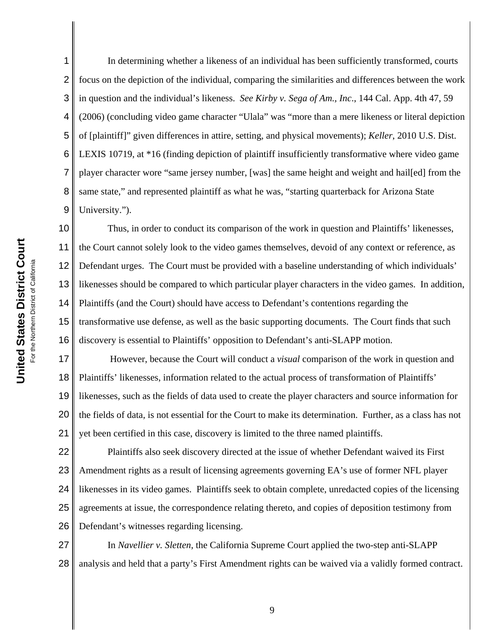1 2 3 4 5 6 7 8 9 In determining whether a likeness of an individual has been sufficiently transformed, courts focus on the depiction of the individual, comparing the similarities and differences between the work in question and the individual's likeness. *See Kirby v. Sega of Am., Inc*., 144 Cal. App. 4th 47, 59 (2006) (concluding video game character "Ulala" was "more than a mere likeness or literal depiction of [plaintiff]" given differences in attire, setting, and physical movements); *Keller*, 2010 U.S. Dist. LEXIS 10719, at \*16 (finding depiction of plaintiff insufficiently transformative where video game player character wore "same jersey number, [was] the same height and weight and hail[ed] from the same state," and represented plaintiff as what he was, "starting quarterback for Arizona State University.").

10 11 12 13 14 15 16 Thus, in order to conduct its comparison of the work in question and Plaintiffs' likenesses, the Court cannot solely look to the video games themselves, devoid of any context or reference, as Defendant urges. The Court must be provided with a baseline understanding of which individuals' likenesses should be compared to which particular player characters in the video games. In addition, Plaintiffs (and the Court) should have access to Defendant's contentions regarding the transformative use defense, as well as the basic supporting documents. The Court finds that such discovery is essential to Plaintiffs' opposition to Defendant's anti-SLAPP motion.

17 18 19 20 21 However, because the Court will conduct a *visual* comparison of the work in question and Plaintiffs' likenesses, information related to the actual process of transformation of Plaintiffs' likenesses, such as the fields of data used to create the player characters and source information for the fields of data, is not essential for the Court to make its determination. Further, as a class has not yet been certified in this case, discovery is limited to the three named plaintiffs.

22 23 24 25 26 Plaintiffs also seek discovery directed at the issue of whether Defendant waived its First Amendment rights as a result of licensing agreements governing EA's use of former NFL player likenesses in its video games. Plaintiffs seek to obtain complete, unredacted copies of the licensing agreements at issue, the correspondence relating thereto, and copies of deposition testimony from Defendant's witnesses regarding licensing.

27 28 In *Navellier v. Sletten*, the California Supreme Court applied the two-step anti-SLAPP analysis and held that a party's First Amendment rights can be waived via a validly formed contract.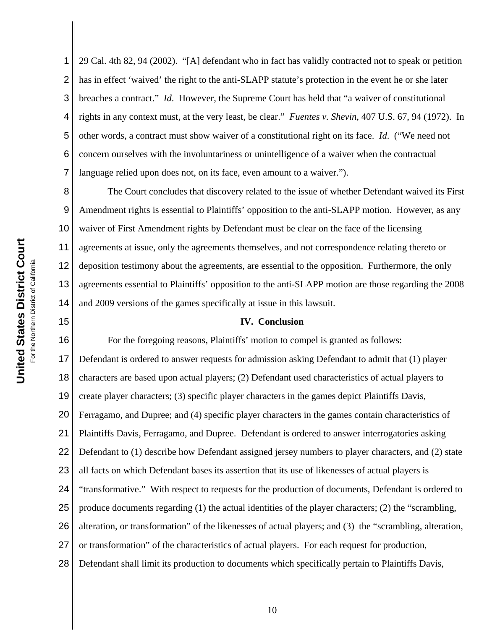1

2 3 4 5 6 7 29 Cal. 4th 82, 94 (2002). "[A] defendant who in fact has validly contracted not to speak or petition has in effect 'waived' the right to the anti-SLAPP statute's protection in the event he or she later breaches a contract." *Id*.However, the Supreme Court has held that "a waiver of constitutional rights in any context must, at the very least, be clear." *Fuentes v. Shevin*, 407 U.S. 67, 94 (1972). In other words, a contract must show waiver of a constitutional right on its face. *Id*. ("We need not concern ourselves with the involuntariness or unintelligence of a waiver when the contractual language relied upon does not, on its face, even amount to a waiver.").

8 9 10 11 12 13 14 The Court concludes that discovery related to the issue of whether Defendant waived its First Amendment rights is essential to Plaintiffs' opposition to the anti-SLAPP motion. However, as any waiver of First Amendment rights by Defendant must be clear on the face of the licensing agreements at issue, only the agreements themselves, and not correspondence relating thereto or deposition testimony about the agreements, are essential to the opposition. Furthermore, the only agreements essential to Plaintiffs' opposition to the anti-SLAPP motion are those regarding the 2008 and 2009 versions of the games specifically at issue in this lawsuit.

## **IV. Conclusion**

16 17 18 19 20 21 22 23 24 25 26 27 28 For the foregoing reasons, Plaintiffs' motion to compel is granted as follows: Defendant is ordered to answer requests for admission asking Defendant to admit that (1) player characters are based upon actual players; (2) Defendant used characteristics of actual players to create player characters; (3) specific player characters in the games depict Plaintiffs Davis, Ferragamo, and Dupree; and (4) specific player characters in the games contain characteristics of Plaintiffs Davis, Ferragamo, and Dupree. Defendant is ordered to answer interrogatories asking Defendant to (1) describe how Defendant assigned jersey numbers to player characters, and (2) state all facts on which Defendant bases its assertion that its use of likenesses of actual players is "transformative." With respect to requests for the production of documents, Defendant is ordered to produce documents regarding (1) the actual identities of the player characters; (2) the "scrambling, alteration, or transformation" of the likenesses of actual players; and (3) the "scrambling, alteration, or transformation" of the characteristics of actual players. For each request for production, Defendant shall limit its production to documents which specifically pertain to Plaintiffs Davis,